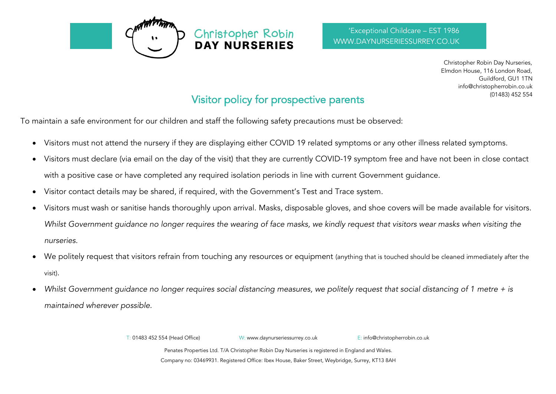

Christopher Robin Day Nurseries, Elmdon House, 116 London Road, Guildford, GU1 1TN [info@christopherrobin.co.uk](mailto:info@christopherrobin.co.uk) (01483) 452 554

## Visitor policy for prospective parents

To maintain a safe environment for our children and staff the following safety precautions must be observed:

- Visitors must not attend the nursery if they are displaying either COVID 19 related symptoms or any other illness related symptoms.
- Visitors must declare (via email on the day of the visit) that they are currently COVID-19 symptom free and have not been in close contact with a positive case or have completed any required isolation periods in line with current Government guidance.
- Visitor contact details may be shared, if required, with the Government's Test and Trace system.
- Visitors must wash or sanitise hands thoroughly upon arrival. Masks, disposable gloves, and shoe covers will be made available for visitors. *Whilst Government guidance no longer requires the wearing of face masks, we kindly request that visitors wear masks when visiting the nurseries.*
- We politely request that visitors refrain from touching any resources or equipment (anything that is touched should be cleaned immediately after the visit).
- *Whilst Government guidance no longer requires social distancing measures, we politely request that social distancing of 1 metre + is maintained wherever possible.*

T: 01483 452 554 (Head Office) W: [www.daynurseriessurrey.co.uk](http://www.daynurseriessurrey.co.uk/) E: [info@christopherrobin.co.uk](mailto:info@christopherrobin.co.uk)

Penates Properties Ltd. T/A Christopher Robin Day Nurseries is registered in England and Wales. Company no: 03469931. Registered Office: Ibex House, Baker Street, Weybridge, Surrey, KT13 8AH